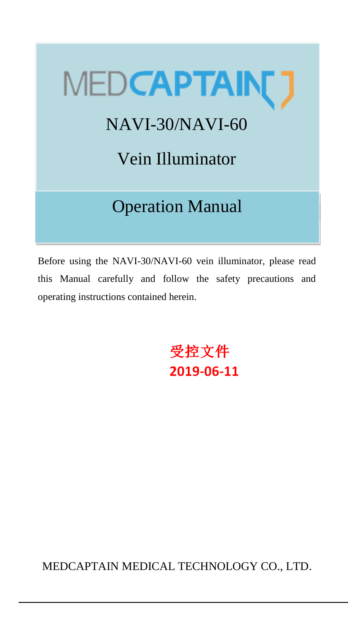# MEDCAPTAIN[]

# NAVI-30/NAVI-60

Vein Illuminator

# Operation Manual

Before using the NAVI-30/NAVI-60 vein illuminator, please read this Manual carefully and follow the safety precautions and operating instructions contained herein.

> 受控文件 2019-06-11

MEDCAPTAIN MEDICAL TECHNOLOGY CO., LTD.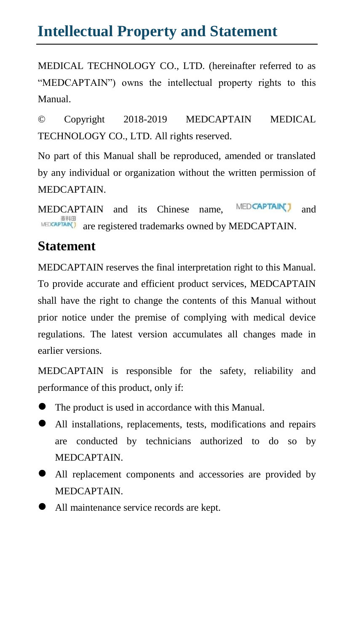### **Intellectual Property and Statement**

MEDICAL TECHNOLOGY CO., LTD. (hereinafter referred to as "MEDCAPTAIN") owns the intellectual property rights to this Manual.

© Copyright 2018-2019 MEDCAPTAIN MEDICAL TECHNOLOGY CO., LTD. All rights reserved.

No part of this Manual shall be reproduced, amended or translated by any individual or organization without the written permission of MEDCAPTAIN.

MEDCAPTAIN and its Chinese name, MEDCAPTAIN and  $$\tt{\tt MEDCAPTAIN}.$$  are registered trademarks owned by <code>MEDCAPTAIN</code>.

#### **Statement**

MEDCAPTAIN reserves the final interpretation right to this Manual. To provide accurate and efficient product services, MEDCAPTAIN shall have the right to change the contents of this Manual without prior notice under the premise of complying with medical device regulations. The latest version accumulates all changes made in earlier versions.

MEDCAPTAIN is responsible for the safety, reliability and performance of this product, only if:

- The product is used in accordance with this Manual.
- All installations, replacements, tests, modifications and repairs are conducted by technicians authorized to do so by MEDCAPTAIN.
- All replacement components and accessories are provided by MEDCAPTAIN.
- All maintenance service records are kept.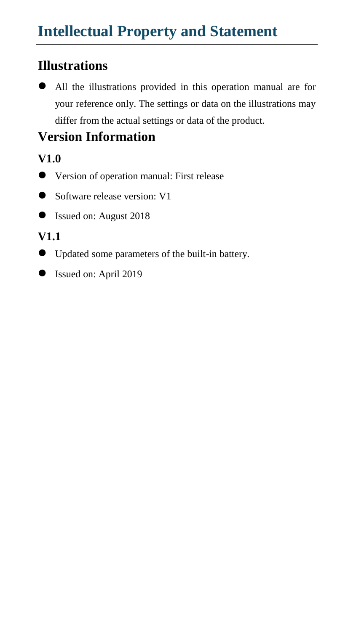#### **Illustrations**

 All the illustrations provided in this operation manual are for your reference only. The settings or data on the illustrations may differ from the actual settings or data of the product.

#### **Version Information**

#### **V1.0**

- Version of operation manual: First release
- Software release version: V1
- Issued on: August 2018

#### **V1.1**

- Updated some parameters of the built-in battery.
- Issued on: April 2019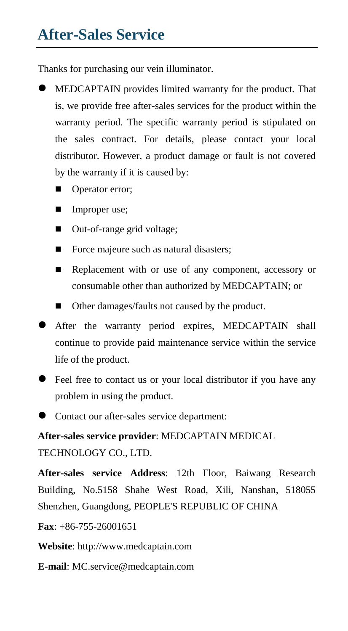# **After-Sales Service**

Thanks for purchasing our vein illuminator.

- MEDCAPTAIN provides limited warranty for the product. That is, we provide free after-sales services for the product within the warranty period. The specific warranty period is stipulated on the sales contract. For details, please contact your local distributor. However, a product damage or fault is not covered by the warranty if it is caused by:
	- Operator error;
	- **Improper use;**
	- Out-of-range grid voltage;
	- Force majeure such as natural disasters;
	- Replacement with or use of any component, accessory or consumable other than authorized by MEDCAPTAIN; or
	- Other damages/faults not caused by the product.
- After the warranty period expires, MEDCAPTAIN shall continue to provide paid maintenance service within the service life of the product.
- Feel free to contact us or your local distributor if you have any problem in using the product.
- Contact our after-sales service department:

**After-sales service provider**: MEDCAPTAIN MEDICAL TECHNOLOGY CO., LTD.

**After-sales service Address**: 12th Floor, Baiwang Research Building, No.5158 Shahe West Road, Xili, Nanshan, 518055 Shenzhen, Guangdong, PEOPLE'S REPUBLIC OF CHINA

**Fax**: +86-755-26001651

**Website**: http://www.medcaptain.com

**E-mail**: MC[.service@medcaptain.com](mailto:service@medcaptain.com)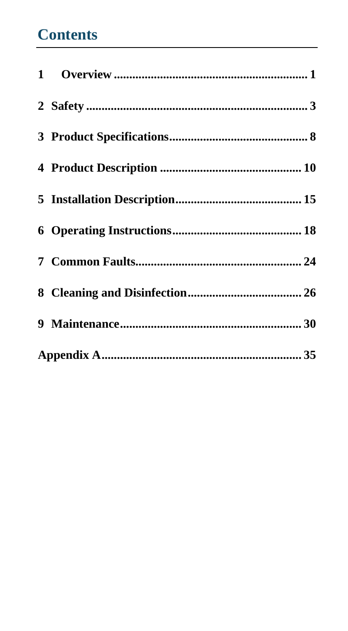# **Contents**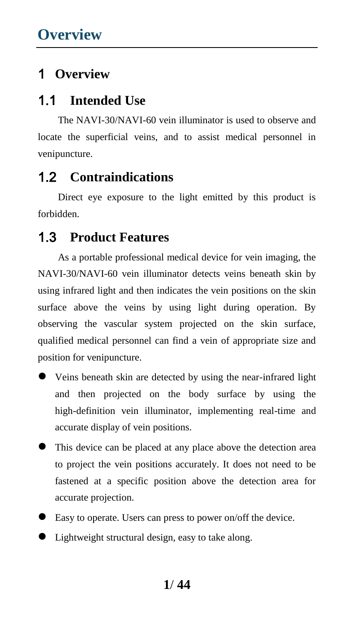#### 1 **Overview**

#### 1.1 **Intended Use**

The NAVI-30/NAVI-60 vein illuminator is used to observe and locate the superficial veins, and to assist medical personnel in venipuncture.

#### 1.2 **Contraindications**

Direct eye exposure to the light emitted by this product is forbidden.

#### 1.3 **Product Features**

As a portable professional medical device for vein imaging, the NAVI-30/NAVI-60 vein illuminator detects veins beneath skin by using infrared light and then indicates the vein positions on the skin surface above the veins by using light during operation. By observing the vascular system projected on the skin surface, qualified medical personnel can find a vein of appropriate size and position for venipuncture.

- Veins beneath skin are detected by using the near-infrared light and then projected on the body surface by using the high-definition vein illuminator, implementing real-time and accurate display of vein positions.
- This device can be placed at any place above the detection area to project the vein positions accurately. It does not need to be fastened at a specific position above the detection area for accurate projection.
- Easy to operate. Users can press to power on/off the device.
- Lightweight structural design, easy to take along.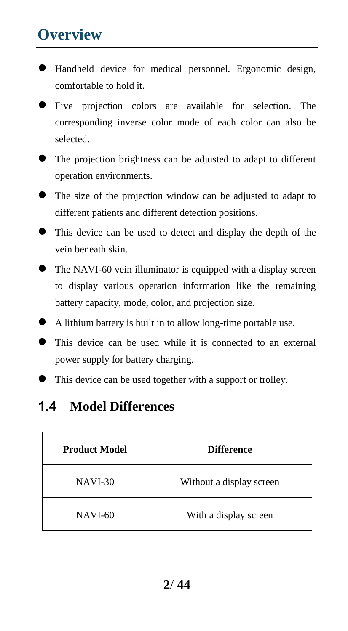# **Overview**

- Handheld device for medical personnel. Ergonomic design, comfortable to hold it.
- Five projection colors are available for selection. The corresponding inverse color mode of each color can also be selected.
- The projection brightness can be adjusted to adapt to different operation environments.
- The size of the projection window can be adjusted to adapt to different patients and different detection positions.
- This device can be used to detect and display the depth of the vein beneath skin.
- The NAVI-60 vein illuminator is equipped with a display screen to display various operation information like the remaining battery capacity, mode, color, and projection size.
- A lithium battery is built in to allow long-time portable use.
- This device can be used while it is connected to an external power supply for battery charging.
- This device can be used together with a support or trolley.

#### 1.4 **Model Differences**

| <b>Product Model</b> | <b>Difference</b>        |
|----------------------|--------------------------|
| <b>NAVI-30</b>       | Without a display screen |
| <b>NAVI-60</b>       | With a display screen    |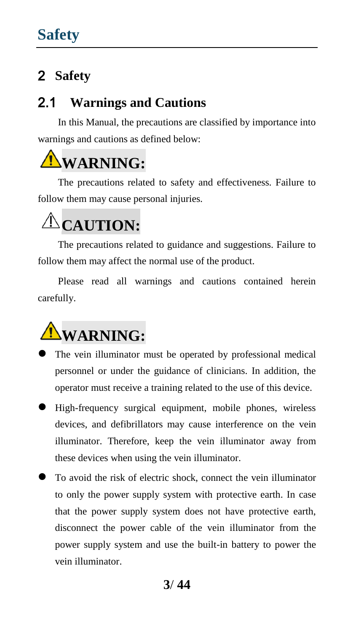#### 2.1 **Warnings and Cautions**

In this Manual, the precautions are classified by importance into warnings and cautions as defined below:

# **WARNING:**

The precautions related to safety and effectiveness. Failure to follow them may cause personal injuries.

# **CAUTION:**

The precautions related to guidance and suggestions. Failure to follow them may affect the normal use of the product.

Please read all warnings and cautions contained herein carefully.



- The vein illuminator must be operated by professional medical personnel or under the guidance of clinicians. In addition, the operator must receive a training related to the use of this device.
- High-frequency surgical equipment, mobile phones, wireless devices, and defibrillators may cause interference on the vein illuminator. Therefore, keep the vein illuminator away from these devices when using the vein illuminator.
- To avoid the risk of electric shock, connect the vein illuminator to only the power supply system with protective earth. In case that the power supply system does not have protective earth, disconnect the power cable of the vein illuminator from the power supply system and use the built-in battery to power the vein illuminator.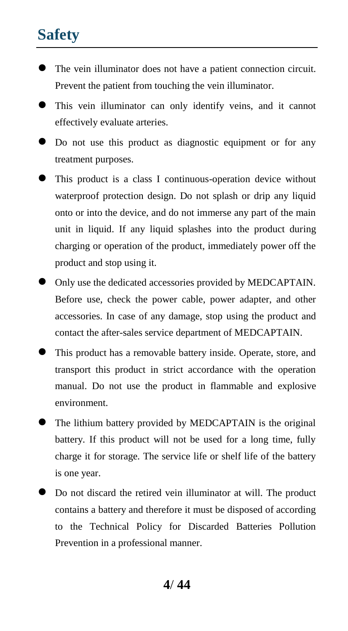- The vein illuminator does not have a patient connection circuit. Prevent the patient from touching the vein illuminator.
- This vein illuminator can only identify veins, and it cannot effectively evaluate arteries.
- Do not use this product as diagnostic equipment or for any treatment purposes.
- This product is a class I continuous-operation device without waterproof protection design. Do not splash or drip any liquid onto or into the device, and do not immerse any part of the main unit in liquid. If any liquid splashes into the product during charging or operation of the product, immediately power off the product and stop using it.
- Only use the dedicated accessories provided by MEDCAPTAIN. Before use, check the power cable, power adapter, and other accessories. In case of any damage, stop using the product and contact the after-sales service department of MEDCAPTAIN.
- This product has a removable battery inside. Operate, store, and transport this product in strict accordance with the operation manual. Do not use the product in flammable and explosive environment.
- The lithium battery provided by MEDCAPTAIN is the original battery. If this product will not be used for a long time, fully charge it for storage. The service life or shelf life of the battery is one year.
- Do not discard the retired vein illuminator at will. The product contains a battery and therefore it must be disposed of according to the Technical Policy for Discarded Batteries Pollution Prevention in a professional manner.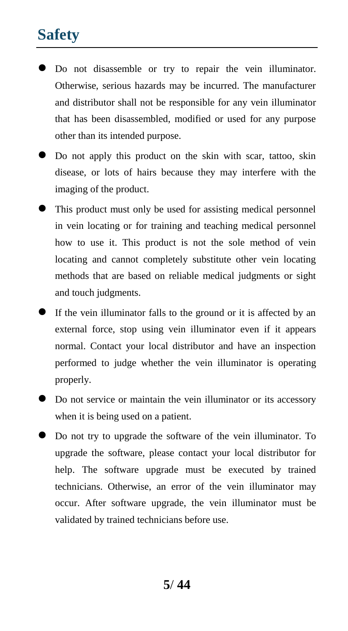- Do not disassemble or try to repair the vein illuminator. Otherwise, serious hazards may be incurred. The manufacturer and distributor shall not be responsible for any vein illuminator that has been disassembled, modified or used for any purpose other than its intended purpose.
- Do not apply this product on the skin with scar, tattoo, skin disease, or lots of hairs because they may interfere with the imaging of the product.
- This product must only be used for assisting medical personnel in vein locating or for training and teaching medical personnel how to use it. This product is not the sole method of vein locating and cannot completely substitute other vein locating methods that are based on reliable medical judgments or sight and touch judgments.
- If the vein illuminator falls to the ground or it is affected by an external force, stop using vein illuminator even if it appears normal. Contact your local distributor and have an inspection performed to judge whether the vein illuminator is operating properly.
- Do not service or maintain the vein illuminator or its accessory when it is being used on a patient.
- Do not try to upgrade the software of the vein illuminator. To upgrade the software, please contact your local distributor for help. The software upgrade must be executed by trained technicians. Otherwise, an error of the vein illuminator may occur. After software upgrade, the vein illuminator must be validated by trained technicians before use.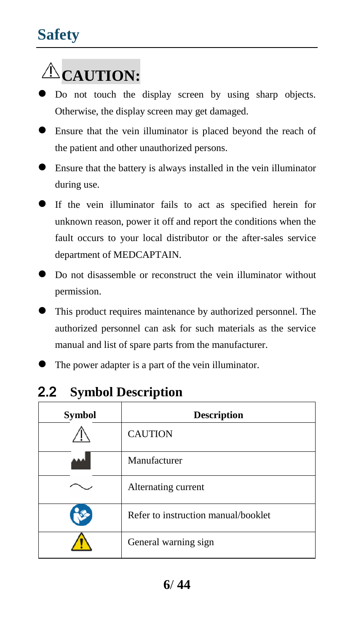# **CAUTION:**

- $\bullet$  Do not touch the display screen by using sharp objects. Otherwise, the display screen may get damaged.
- Ensure that the vein illuminator is placed beyond the reach of the patient and other unauthorized persons.
- Ensure that the battery is always installed in the vein illuminator during use.
- If the vein illuminator fails to act as specified herein for unknown reason, power it off and report the conditions when the fault occurs to your local distributor or the after-sales service department of MEDCAPTAIN.
- $\bullet$  Do not disassemble or reconstruct the vein illuminator without permission.
- This product requires maintenance by authorized personnel. The authorized personnel can ask for such materials as the service manual and list of spare parts from the manufacturer.
- The power adapter is a part of the vein illuminator.

| <b>Symbol</b> | <b>Description</b>                  |
|---------------|-------------------------------------|
|               | <b>CAUTION</b>                      |
|               | Manufacturer                        |
|               | Alternating current                 |
|               | Refer to instruction manual/booklet |
|               | General warning sign                |

#### 2.2 **Symbol Description**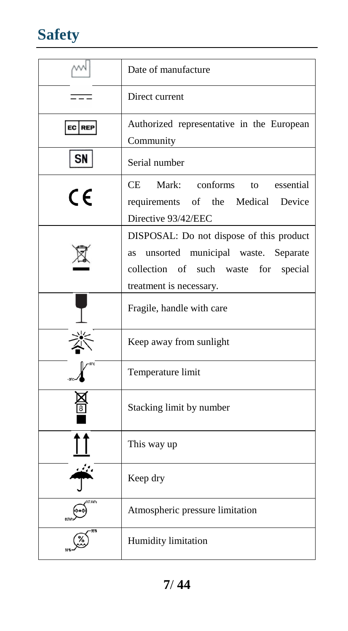

|           | Date of manufacture                                                                                                                                        |  |
|-----------|------------------------------------------------------------------------------------------------------------------------------------------------------------|--|
|           | Direct current                                                                                                                                             |  |
| EC REP    | Authorized representative in the European<br>Community                                                                                                     |  |
| <b>SN</b> | Serial number                                                                                                                                              |  |
| CE        | Mark: conforms<br>CE<br>to essential<br>requirements of the Medical<br>Device<br>Directive 93/42/EEC                                                       |  |
|           | DISPOSAL: Do not dispose of this product<br>unsorted municipal waste. Separate<br>as<br>collection of such waste for<br>special<br>treatment is necessary. |  |
|           | Fragile, handle with care                                                                                                                                  |  |
|           | Keep away from sunlight                                                                                                                                    |  |
|           | Temperature limit                                                                                                                                          |  |
|           | Stacking limit by number                                                                                                                                   |  |
|           | This way up                                                                                                                                                |  |
|           | Keep dry                                                                                                                                                   |  |
| 7.4kPa    | Atmospheric pressure limitation                                                                                                                            |  |
|           | Humidity limitation                                                                                                                                        |  |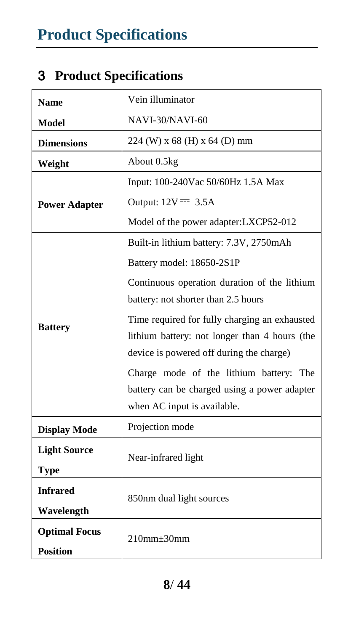# 3 **Product Specifications**

| <b>Name</b>          | Vein illuminator                              |  |
|----------------------|-----------------------------------------------|--|
| Model                | NAVI-30/NAVI-60                               |  |
| <b>Dimensions</b>    | 224 (W) x 68 (H) x 64 (D) mm                  |  |
| Weight               | About 0.5kg                                   |  |
|                      | Input: 100-240Vac 50/60Hz 1.5A Max            |  |
| <b>Power Adapter</b> | Output: $12V = 3.5A$                          |  |
|                      | Model of the power adapter: LXCP52-012        |  |
|                      | Built-in lithium battery: 7.3V, 2750mAh       |  |
|                      | Battery model: 18650-2S1P                     |  |
|                      | Continuous operation duration of the lithium  |  |
|                      | battery: not shorter than 2.5 hours           |  |
| <b>Battery</b>       | Time required for fully charging an exhausted |  |
|                      | lithium battery: not longer than 4 hours (the |  |
|                      | device is powered off during the charge)      |  |
|                      | Charge mode of the lithium battery: The       |  |
|                      | battery can be charged using a power adapter  |  |
|                      | when AC input is available.                   |  |
| <b>Display Mode</b>  | Projection mode                               |  |
| <b>Light Source</b>  | Near-infrared light                           |  |
| <b>Type</b>          |                                               |  |
| <b>Infrared</b>      |                                               |  |
| Wavelength           | 850nm dual light sources                      |  |
| <b>Optimal Focus</b> |                                               |  |
| <b>Position</b>      | $210$ mm $+30$ mm                             |  |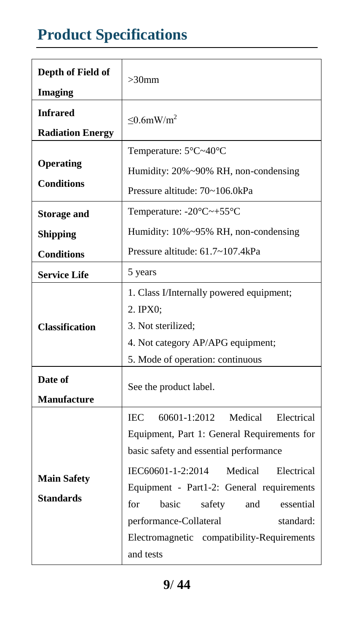# **Product Specifications**

| Depth of Field of<br><b>Imaging</b>                        | $>30$ mm                                                                                                                                                                                                                                                                                                                                                                                |  |  |
|------------------------------------------------------------|-----------------------------------------------------------------------------------------------------------------------------------------------------------------------------------------------------------------------------------------------------------------------------------------------------------------------------------------------------------------------------------------|--|--|
| <b>Infrared</b><br><b>Radiation Energy</b>                 | $\leq 0.6$ mW/m <sup>2</sup>                                                                                                                                                                                                                                                                                                                                                            |  |  |
| Operating<br><b>Conditions</b>                             | Temperature: 5 °C~40 °C<br>Humidity: 20%~90% RH, non-condensing<br>Pressure altitude: 70~106.0kPa                                                                                                                                                                                                                                                                                       |  |  |
| <b>Storage and</b><br><b>Shipping</b><br><b>Conditions</b> | Temperature: $-20 \text{ C} \rightarrow +55 \text{ C}$<br>Humidity: 10%~95% RH, non-condensing<br>Pressure altitude: 61.7~107.4kPa                                                                                                                                                                                                                                                      |  |  |
| <b>Service Life</b>                                        | 5 years                                                                                                                                                                                                                                                                                                                                                                                 |  |  |
| <b>Classification</b>                                      | 1. Class I/Internally powered equipment;<br>2. IPX0:<br>3. Not sterilized:<br>4. Not category AP/APG equipment;<br>5. Mode of operation: continuous                                                                                                                                                                                                                                     |  |  |
| Date of<br><b>Manufacture</b>                              | See the product label.                                                                                                                                                                                                                                                                                                                                                                  |  |  |
| <b>Main Safety</b><br><b>Standards</b>                     | 60601-1:2012<br>Medical<br>Electrical<br><b>IEC</b><br>Equipment, Part 1: General Requirements for<br>basic safety and essential performance<br>IEC60601-1-2:2014<br>Medical<br>Electrical<br>Equipment - Part1-2: General requirements<br>for<br>basic<br>safety<br>and<br>essential<br>performance-Collateral<br>standard:<br>Electromagnetic compatibility-Requirements<br>and tests |  |  |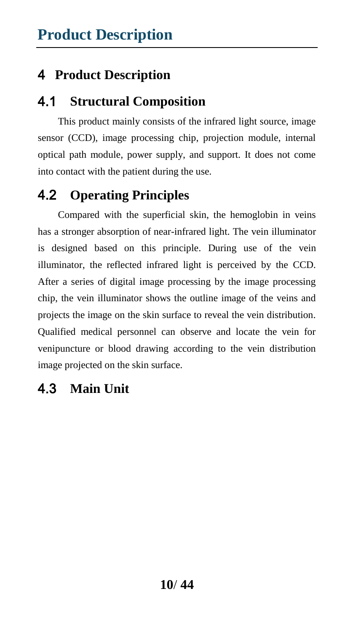#### 4.1 **Structural Composition**

This product mainly consists of the infrared light source, image sensor (CCD), image processing chip, projection module, internal optical path module, power supply, and support. It does not come into contact with the patient during the use.

### 4.2 **Operating Principles**

Compared with the superficial skin, the hemoglobin in veins has a stronger absorption of near-infrared light. The vein illuminator is designed based on this principle. During use of the vein illuminator, the reflected infrared light is perceived by the CCD. After a series of digital image processing by the image processing chip, the vein illuminator shows the outline image of the veins and projects the image on the skin surface to reveal the vein distribution. Qualified medical personnel can observe and locate the vein for venipuncture or blood drawing according to the vein distribution image projected on the skin surface.

#### 4.3 **Main Unit**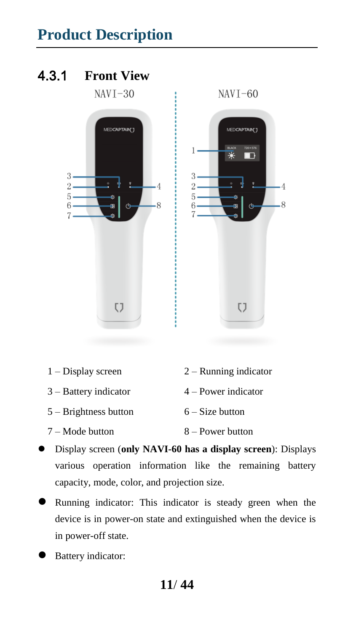### 4.3.1 **Front View**



- 1 Display screen 2 Running indicator 3 – Battery indicator 4 – Power indicator  $5 -$ Brightness button  $6 -$ Size button 7 – Mode button 8 – Power button
- Display screen (**only NAVI-60 has a display screen**): Displays various operation information like the remaining battery capacity, mode, color, and projection size.
- Running indicator: This indicator is steady green when the device is in power-on state and extinguished when the device is in power-off state.
- Battery indicator: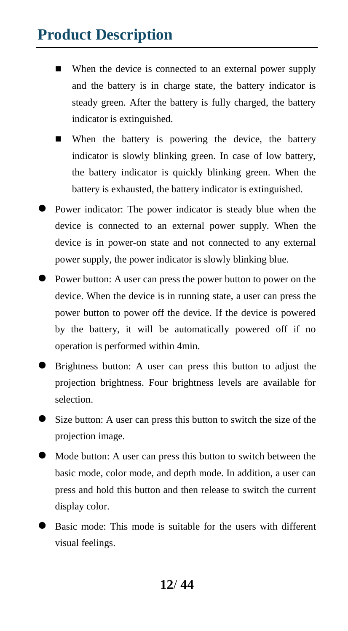- When the device is connected to an external power supply and the battery is in charge state, the battery indicator is steady green. After the battery is fully charged, the battery indicator is extinguished.
- When the battery is powering the device, the battery indicator is slowly blinking green. In case of low battery, the battery indicator is quickly blinking green. When the battery is exhausted, the battery indicator is extinguished.
- **Power indicator:** The power indicator is steady blue when the device is connected to an external power supply. When the device is in power-on state and not connected to any external power supply, the power indicator is slowly blinking blue.
- Power button: A user can press the power button to power on the device. When the device is in running state, a user can press the power button to power off the device. If the device is powered by the battery, it will be automatically powered off if no operation is performed within 4min.
- Brightness button: A user can press this button to adjust the projection brightness. Four brightness levels are available for selection.
- Size button: A user can press this button to switch the size of the projection image.
- Mode button: A user can press this button to switch between the basic mode, color mode, and depth mode. In addition, a user can press and hold this button and then release to switch the current display color.
- Basic mode: This mode is suitable for the users with different visual feelings.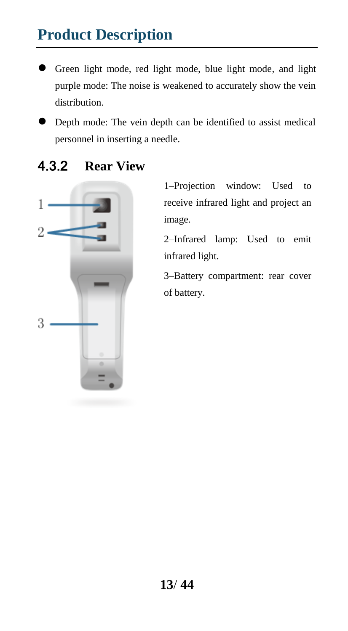- Green light mode, red light mode, blue light mode, and light purple mode: The noise is weakened to accurately show the vein distribution.
- Depth mode: The vein depth can be identified to assist medical personnel in inserting a needle.



#### 4.3.2 **Rear View**

1–Projection window: Used to receive infrared light and project an image.

2–Infrared lamp: Used to emit infrared light.

3–Battery compartment: rear cover of battery.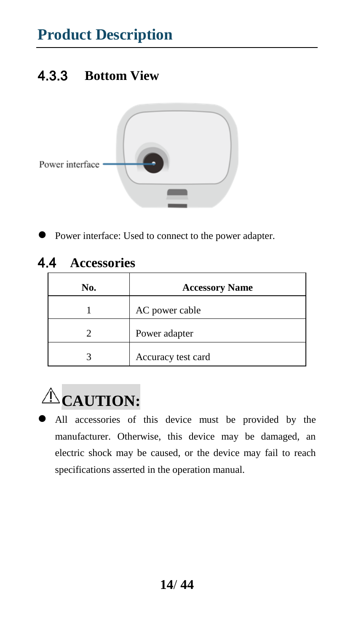### 4.3.3 **Bottom View**



Power interface: Used to connect to the power adapter.

#### 4.4 **Accessories**

| No. | <b>Accessory Name</b> |
|-----|-----------------------|
|     | AC power cable        |
|     | Power adapter         |
|     | Accuracy test card    |



 All accessories of this device must be provided by the manufacturer. Otherwise, this device may be damaged, an electric shock may be caused, or the device may fail to reach specifications asserted in the operation manual.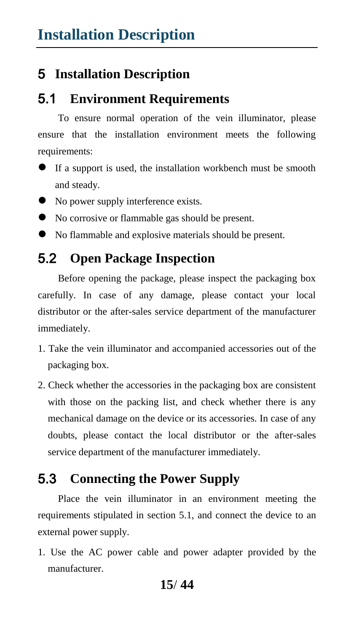#### 5 **Installation Description**

#### 5.1 **Environment Requirements**

To ensure normal operation of the vein illuminator, please ensure that the installation environment meets the following requirements:

- If a support is used, the installation workbench must be smooth and steady.
- No power supply interference exists.
- No corrosive or flammable gas should be present.
- No flammable and explosive materials should be present.

#### 5.2 **Open Package Inspection**

Before opening the package, please inspect the packaging box carefully. In case of any damage, please contact your local distributor or the after-sales service department of the manufacturer immediately.

- 1. Take the vein illuminator and accompanied accessories out of the packaging box.
- 2. Check whether the accessories in the packaging box are consistent with those on the packing list, and check whether there is any mechanical damage on the device or its accessories. In case of any doubts, please contact the local distributor or the after-sales service department of the manufacturer immediately.

#### 5.3 **Connecting the Power Supply**

Place the vein illuminator in an environment meeting the requirements stipulated in section 5.1, and connect the device to an external power supply.

1. Use the AC power cable and power adapter provided by the manufacturer.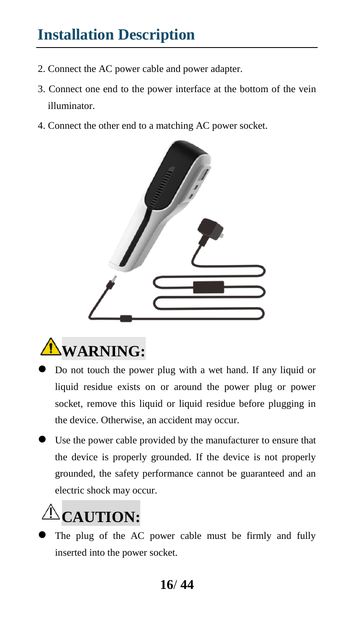# **Installation Description**

- 2. Connect the AC power cable and power adapter.
- 3. Connect one end to the power interface at the bottom of the vein illuminator.
- 4. Connect the other end to a matching AC power socket.





- Do not touch the power plug with a wet hand. If any liquid or liquid residue exists on or around the power plug or power socket, remove this liquid or liquid residue before plugging in the device. Otherwise, an accident may occur.
- Use the power cable provided by the manufacturer to ensure that the device is properly grounded. If the device is not properly grounded, the safety performance cannot be guaranteed and an electric shock may occur.

# **CAUTION:**

 The plug of the AC power cable must be firmly and fully inserted into the power socket.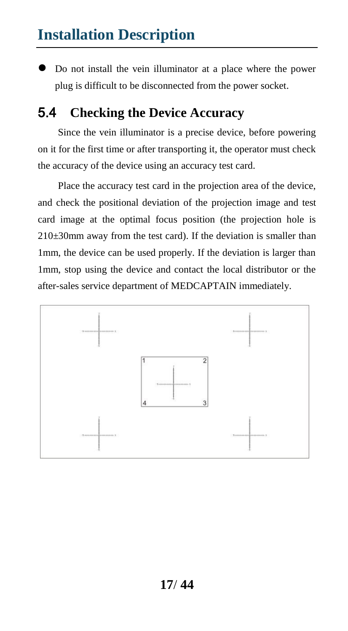### **Installation Description**

 Do not install the vein illuminator at a place where the power plug is difficult to be disconnected from the power socket.

#### 5.4 **Checking the Device Accuracy**

Since the vein illuminator is a precise device, before powering on it for the first time or after transporting it, the operator must check the accuracy of the device using an accuracy test card.

Place the accuracy test card in the projection area of the device, and check the positional deviation of the projection image and test card image at the optimal focus position (the projection hole is  $210\pm30$ mm away from the test card). If the deviation is smaller than 1mm, the device can be used properly. If the deviation is larger than 1mm, stop using the device and contact the local distributor or the after-sales service department of MEDCAPTAIN immediately.

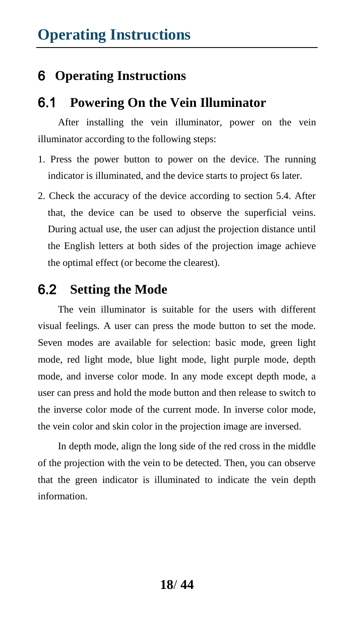#### 6.1 **Powering On the Vein Illuminator**

After installing the vein illuminator, power on the vein illuminator according to the following steps:

- 1. Press the power button to power on the device. The running indicator is illuminated, and the device starts to project 6s later.
- 2. Check the accuracy of the device according to section 5.4. After that, the device can be used to observe the superficial veins. During actual use, the user can adjust the projection distance until the English letters at both sides of the projection image achieve the optimal effect (or become the clearest).

#### 6.2 **Setting the Mode**

The vein illuminator is suitable for the users with different visual feelings. A user can press the mode button to set the mode. Seven modes are available for selection: basic mode, green light mode, red light mode, blue light mode, light purple mode, depth mode, and inverse color mode. In any mode except depth mode, a user can press and hold the mode button and then release to switch to the inverse color mode of the current mode. In inverse color mode, the vein color and skin color in the projection image are inversed.

In depth mode, align the long side of the red cross in the middle of the projection with the vein to be detected. Then, you can observe that the green indicator is illuminated to indicate the vein depth information.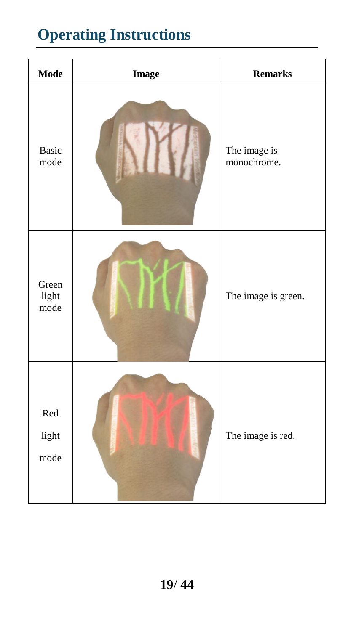| Mode                   | <b>Image</b> | <b>Remarks</b>              |
|------------------------|--------------|-----------------------------|
| <b>Basic</b><br>mode   |              | The image is<br>monochrome. |
| Green<br>light<br>mode |              | The image is green.         |
| Red<br>light<br>mode   |              | The image is red.           |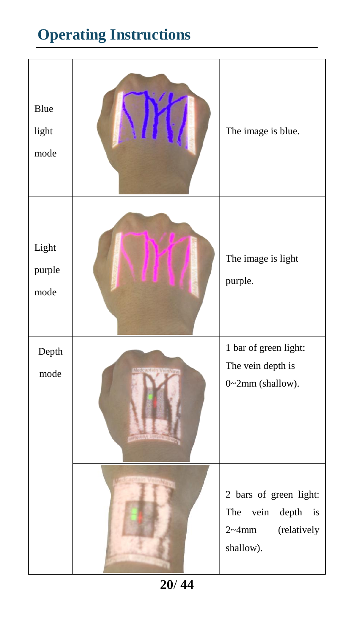| Blue<br>light<br>mode   | The image is blue.                                                                                                 |
|-------------------------|--------------------------------------------------------------------------------------------------------------------|
| Light<br>purple<br>mode | The image is light<br>purple.                                                                                      |
| Depth<br>mode           | 1 bar of green light:<br>The vein depth is<br>0~2mm (shallow).                                                     |
|                         | 2 bars of green light:<br>vein<br>$\operatorname{depth}$<br>The<br>is<br>$2 \sim 4$ mm<br>(relatively<br>shallow). |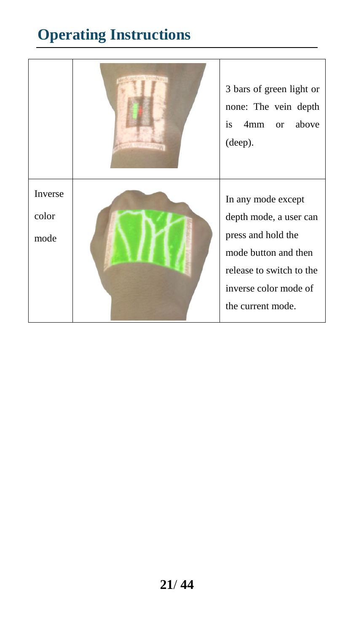|                          | 3 bars of green light or<br>none: The vein depth<br>is<br>4mm<br>above<br>or<br>(deep).                                                                              |
|--------------------------|----------------------------------------------------------------------------------------------------------------------------------------------------------------------|
| Inverse<br>color<br>mode | In any mode except<br>depth mode, a user can<br>press and hold the<br>mode button and then<br>release to switch to the<br>inverse color mode of<br>the current mode. |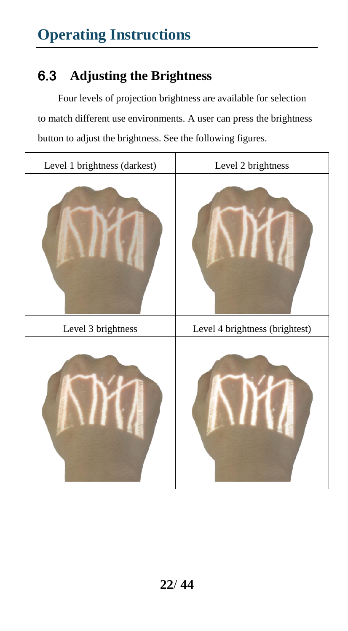# 6.3 **Adjusting the Brightness**

Four levels of projection brightness are available for selection to match different use environments. A user can press the brightness button to adjust the brightness. See the following figures.

| Level 1 brightness (darkest) | Level 2 brightness             |  |
|------------------------------|--------------------------------|--|
|                              |                                |  |
| Level 3 brightness           | Level 4 brightness (brightest) |  |
|                              |                                |  |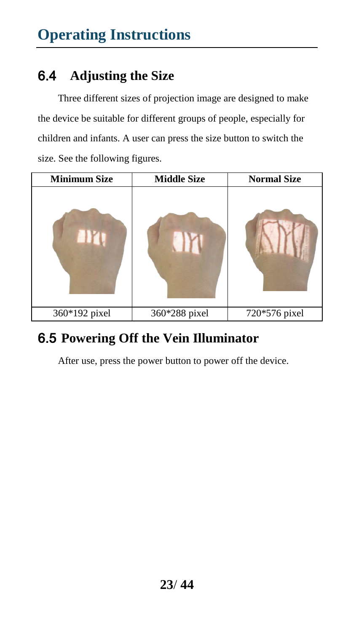### 6.4 **Adjusting the Size**

Three different sizes of projection image are designed to make the device be suitable for different groups of people, especially for children and infants. A user can press the size button to switch the size. See the following figures.

| <b>Minimum Size</b> | <b>Middle Size</b> | <b>Normal Size</b> |
|---------------------|--------------------|--------------------|
|                     |                    |                    |
| 360*192 pixel       | 360*288 pixel      | 720*576 pixel      |

#### 6.5 **Powering Off the Vein Illuminator**

After use, press the power button to power off the device.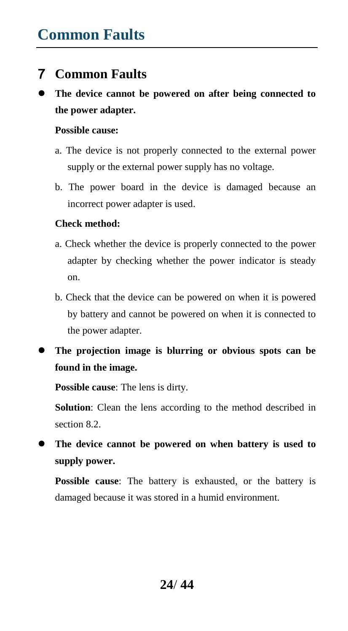#### 7 **Common Faults**

 **The device cannot be powered on after being connected to the power adapter.** 

#### **Possible cause:**

- a. The device is not properly connected to the external power supply or the external power supply has no voltage.
- b. The power board in the device is damaged because an incorrect power adapter is used.

#### **Check method:**

- a. Check whether the device is properly connected to the power adapter by checking whether the power indicator is steady on.
- b. Check that the device can be powered on when it is powered by battery and cannot be powered on when it is connected to the power adapter.
- **The projection image is blurring or obvious spots can be found in the image.**

**Possible cause**: The lens is dirty.

**Solution**: Clean the lens according to the method described in section 8.2.

 **The device cannot be powered on when battery is used to supply power.** 

**Possible cause**: The battery is exhausted, or the battery is damaged because it was stored in a humid environment.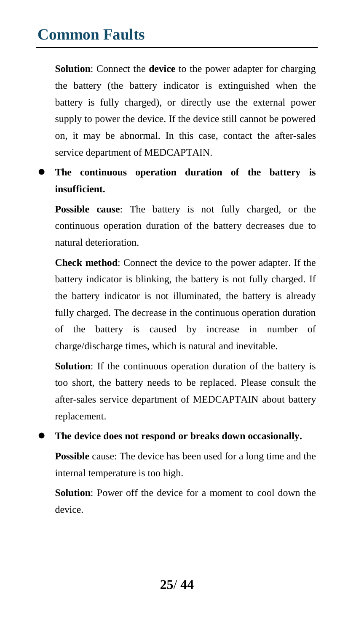# **Common Faults**

**Solution**: Connect the **device** to the power adapter for charging the battery (the battery indicator is extinguished when the battery is fully charged), or directly use the external power supply to power the device. If the device still cannot be powered on, it may be abnormal. In this case, contact the after-sales service department of MEDCAPTAIN.

 **The continuous operation duration of the battery is insufficient.** 

**Possible cause**: The battery is not fully charged, or the continuous operation duration of the battery decreases due to natural deterioration.

**Check method**: Connect the device to the power adapter. If the battery indicator is blinking, the battery is not fully charged. If the battery indicator is not illuminated, the battery is already fully charged. The decrease in the continuous operation duration of the battery is caused by increase in number of charge/discharge times, which is natural and inevitable.

**Solution**: If the continuous operation duration of the battery is too short, the battery needs to be replaced. Please consult the after-sales service department of MEDCAPTAIN about battery replacement.

 **The device does not respond or breaks down occasionally. Possible** cause: The device has been used for a long time and the internal temperature is too high.

**Solution**: Power off the device for a moment to cool down the device.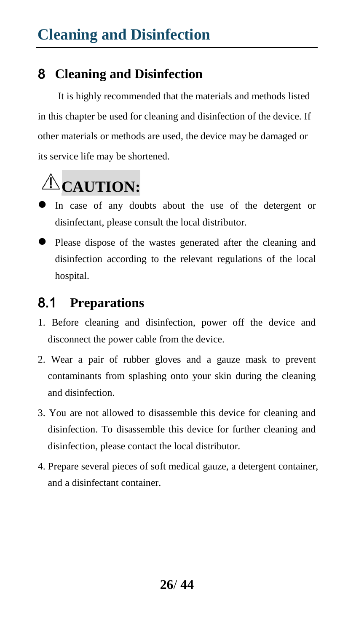### 8 **Cleaning and Disinfection**

It is highly recommended that the materials and methods listed in this chapter be used for cleaning and disinfection of the device. If other materials or methods are used, the device may be damaged or its service life may be shortened.



- In case of any doubts about the use of the detergent or disinfectant, please consult the local distributor.
- Please dispose of the wastes generated after the cleaning and disinfection according to the relevant regulations of the local hospital.

### 8.1 **Preparations**

- 1. Before cleaning and disinfection, power off the device and disconnect the power cable from the device.
- 2. Wear a pair of rubber gloves and a gauze mask to prevent contaminants from splashing onto your skin during the cleaning and disinfection.
- 3. You are not allowed to disassemble this device for cleaning and disinfection. To disassemble this device for further cleaning and disinfection, please contact the local distributor.
- 4. Prepare several pieces of soft medical gauze, a detergent container, and a disinfectant container.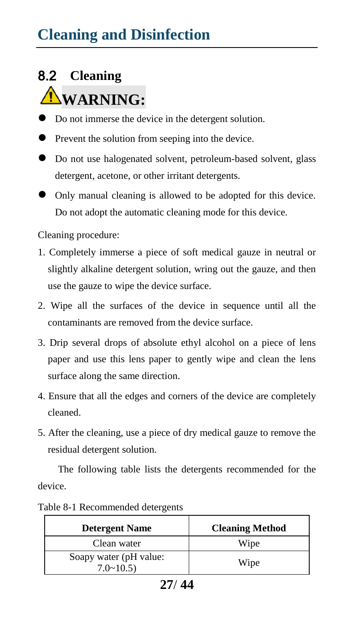# 8.2 **Cleaning NWARNING:**

- Do not immerse the device in the detergent solution.
- **•** Prevent the solution from seeping into the device.
- Do not use halogenated solvent, petroleum-based solvent, glass detergent, acetone, or other irritant detergents.
- Only manual cleaning is allowed to be adopted for this device. Do not adopt the automatic cleaning mode for this device.

Cleaning procedure:

- 1. Completely immerse a piece of soft medical gauze in neutral or slightly alkaline detergent solution, wring out the gauze, and then use the gauze to wipe the device surface.
- 2. Wipe all the surfaces of the device in sequence until all the contaminants are removed from the device surface.
- 3. Drip several drops of absolute ethyl alcohol on a piece of lens paper and use this lens paper to gently wipe and clean the lens surface along the same direction.
- 4. Ensure that all the edges and corners of the device are completely cleaned.
- 5. After the cleaning, use a piece of dry medical gauze to remove the residual detergent solution.

The following table lists the detergents recommended for the device.

| <b>Detergent Name</b>                       | <b>Cleaning Method</b> |  |
|---------------------------------------------|------------------------|--|
| Clean water                                 | Wipe                   |  |
| Soapy water (pH value:<br>$7.0 \times 10.5$ | Wipe                   |  |

Table 8-1 Recommended detergents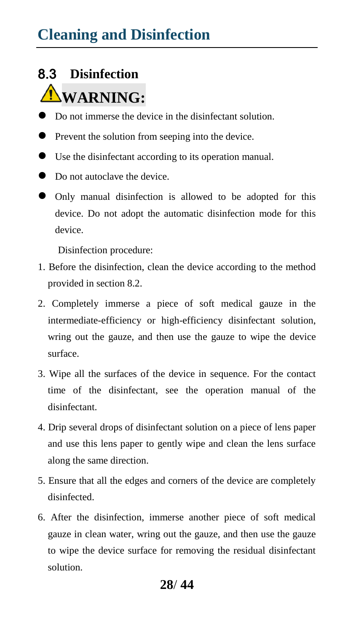# **Cleaning and Disinfection**

#### 8.3 **Disinfection**

# **WARNING:**

- Do not immerse the device in the disinfectant solution.
- **•** Prevent the solution from seeping into the device.
- Use the disinfectant according to its operation manual.
- Do not autoclave the device.
- Only manual disinfection is allowed to be adopted for this device. Do not adopt the automatic disinfection mode for this device.

Disinfection procedure:

- 1. Before the disinfection, clean the device according to the method provided in section 8.2.
- 2. Completely immerse a piece of soft medical gauze in the intermediate-efficiency or high-efficiency disinfectant solution, wring out the gauze, and then use the gauze to wipe the device surface.
- 3. Wipe all the surfaces of the device in sequence. For the contact time of the disinfectant, see the operation manual of the disinfectant.
- 4. Drip several drops of disinfectant solution on a piece of lens paper and use this lens paper to gently wipe and clean the lens surface along the same direction.
- 5. Ensure that all the edges and corners of the device are completely disinfected.
- 6. After the disinfection, immerse another piece of soft medical gauze in clean water, wring out the gauze, and then use the gauze to wipe the device surface for removing the residual disinfectant solution.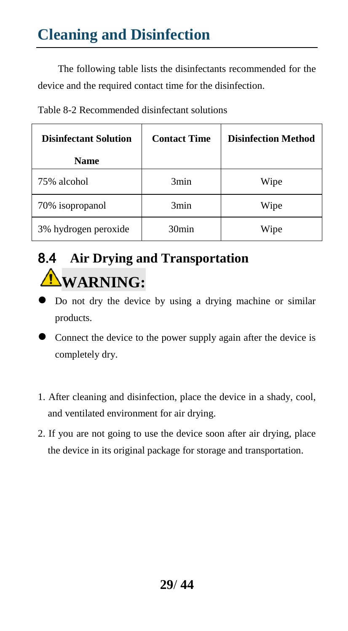The following table lists the disinfectants recommended for the device and the required contact time for the disinfection.

| <b>Disinfectant Solution</b> | <b>Contact Time</b> | <b>Disinfection Method</b> |  |
|------------------------------|---------------------|----------------------------|--|
| <b>Name</b>                  |                     |                            |  |
| 75% alcohol                  | 3min                | Wipe                       |  |
| 70% isopropanol              | 3min                | Wipe                       |  |
| 3% hydrogen peroxide         | 30 <sub>min</sub>   | Wipe                       |  |

# 8.4 **Air Drying and Transportation WARNING:**

- Do not dry the device by using a drying machine or similar products.
- Connect the device to the power supply again after the device is completely dry.
- 1. After cleaning and disinfection, place the device in a shady, cool, and ventilated environment for air drying.
- 2. If you are not going to use the device soon after air drying, place the device in its original package for storage and transportation.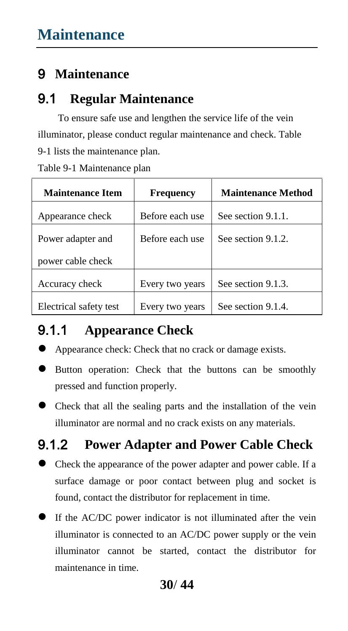### 9 **Maintenance**

#### 9.1 **Regular Maintenance**

To ensure safe use and lengthen the service life of the vein illuminator, please conduct regular maintenance and check. Table 9-1 lists the maintenance plan.

Table 9-1 Maintenance plan

| <b>Maintenance Item</b> | <b>Frequency</b> | <b>Maintenance Method</b> |  |
|-------------------------|------------------|---------------------------|--|
| Appearance check        | Before each use  | See section 9.1.1.        |  |
| Power adapter and       | Before each use  | See section 9.1.2.        |  |
| power cable check       |                  |                           |  |
| Accuracy check          | Every two years  | See section 9.1.3.        |  |
| Electrical safety test  | Every two years  | See section 9.1.4.        |  |

#### 9.1.1 **Appearance Check**

- Appearance check: Check that no crack or damage exists.
- Button operation: Check that the buttons can be smoothly pressed and function properly.
- Check that all the sealing parts and the installation of the vein illuminator are normal and no crack exists on any materials.

#### 9.1.2 **Power Adapter and Power Cable Check**

- Check the appearance of the power adapter and power cable. If a surface damage or poor contact between plug and socket is found, contact the distributor for replacement in time.
- If the AC/DC power indicator is not illuminated after the vein illuminator is connected to an AC/DC power supply or the vein illuminator cannot be started, contact the distributor for maintenance in time.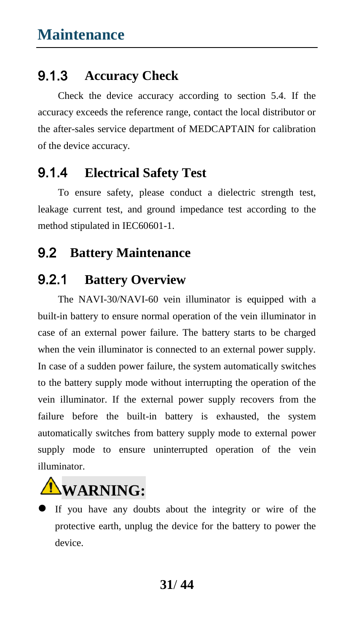### 9.1.3 **Accuracy Check**

Check the device accuracy according to section 5.4. If the accuracy exceeds the reference range, contact the local distributor or the after-sales service department of MEDCAPTAIN for calibration of the device accuracy.

### 9.1.4 **Electrical Safety Test**

To ensure safety, please conduct a dielectric strength test, leakage current test, and ground impedance test according to the method stipulated in IEC60601-1.

#### 9.2 **Battery Maintenance**

### 9.2.1 **Battery Overview**

The NAVI-30/NAVI-60 vein illuminator is equipped with a built-in battery to ensure normal operation of the vein illuminator in case of an external power failure. The battery starts to be charged when the vein illuminator is connected to an external power supply. In case of a sudden power failure, the system automatically switches to the battery supply mode without interrupting the operation of the vein illuminator. If the external power supply recovers from the failure before the built-in battery is exhausted, the system automatically switches from battery supply mode to external power supply mode to ensure uninterrupted operation of the vein illuminator.



 If you have any doubts about the integrity or wire of the protective earth, unplug the device for the battery to power the device.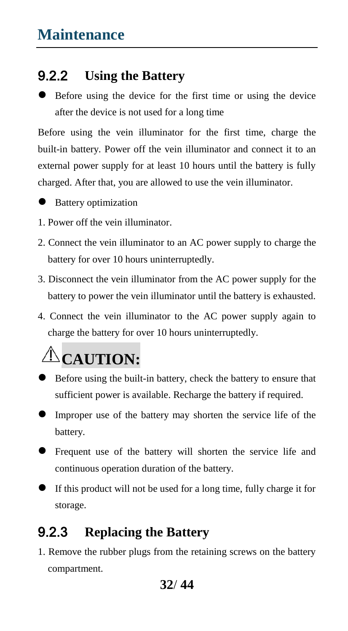### 9.2.2 **Using the Battery**

 Before using the device for the first time or using the device after the device is not used for a long time

Before using the vein illuminator for the first time, charge the built-in battery. Power off the vein illuminator and connect it to an external power supply for at least 10 hours until the battery is fully charged. After that, you are allowed to use the vein illuminator.



● Battery optimization

- 1. Power off the vein illuminator.
- 2. Connect the vein illuminator to an AC power supply to charge the battery for over 10 hours uninterruptedly.
- 3. Disconnect the vein illuminator from the AC power supply for the battery to power the vein illuminator until the battery is exhausted.
- 4. Connect the vein illuminator to the AC power supply again to charge the battery for over 10 hours uninterruptedly.



- Before using the built-in battery, check the battery to ensure that sufficient power is available. Recharge the battery if required.
- Improper use of the battery may shorten the service life of the battery.
- Frequent use of the battery will shorten the service life and continuous operation duration of the battery.
- If this product will not be used for a long time, fully charge it for storage.

#### 9.2.3 **Replacing the Battery**

1. Remove the rubber plugs from the retaining screws on the battery compartment.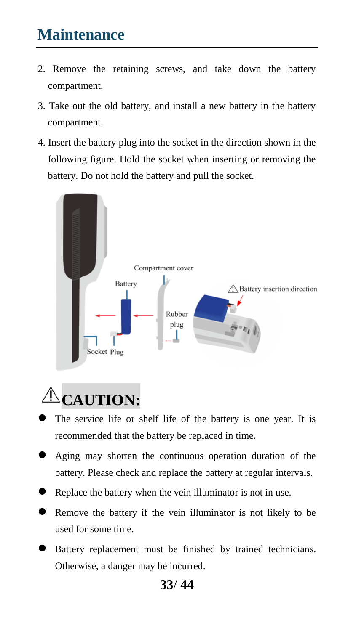# **Maintenance**

- 2. Remove the retaining screws, and take down the battery compartment.
- 3. Take out the old battery, and install a new battery in the battery compartment.
- 4. Insert the battery plug into the socket in the direction shown in the following figure. Hold the socket when inserting or removing the battery. Do not hold the battery and pull the socket.



# **CAUTION:**

- The service life or shelf life of the battery is one year. It is recommended that the battery be replaced in time.
- Aging may shorten the continuous operation duration of the battery. Please check and replace the battery at regular intervals.
- Replace the battery when the vein illuminator is not in use.
- Remove the battery if the vein illuminator is not likely to be used for some time.
- Battery replacement must be finished by trained technicians. Otherwise, a danger may be incurred.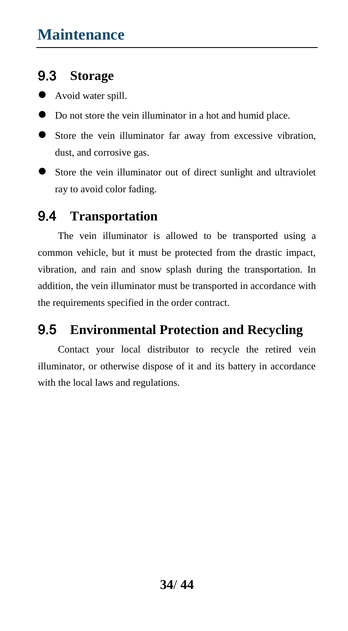#### 9.3 **Storage**

- Avoid water spill.
- Do not store the vein illuminator in a hot and humid place.
- Store the vein illuminator far away from excessive vibration, dust, and corrosive gas.
- Store the vein illuminator out of direct sunlight and ultraviolet ray to avoid color fading.

#### 9.4 **Transportation**

The vein illuminator is allowed to be transported using a common vehicle, but it must be protected from the drastic impact, vibration, and rain and snow splash during the transportation. In addition, the vein illuminator must be transported in accordance with the requirements specified in the order contract.

#### 9.5 **Environmental Protection and Recycling**

Contact your local distributor to recycle the retired vein illuminator, or otherwise dispose of it and its battery in accordance with the local laws and regulations.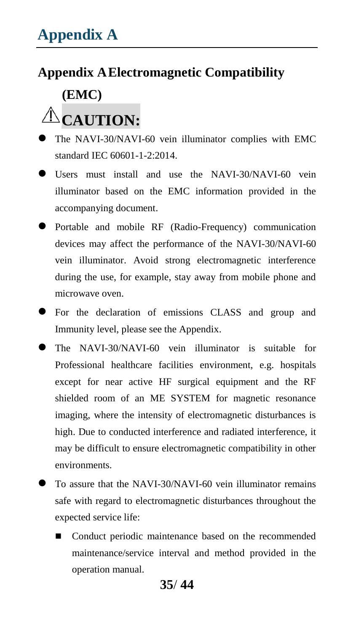#### **Appendix AElectromagnetic Compatibility**

### **(EMC)**

# $\triangle$ **CAUTION:**

- The NAVI-30/NAVI-60 vein illuminator complies with EMC standard IEC 60601-1-2:2014.
- Users must install and use the NAVI-30/NAVI-60 vein illuminator based on the EMC information provided in the accompanying document.
- Portable and mobile RF (Radio-Frequency) communication devices may affect the performance of the NAVI-30/NAVI-60 vein illuminator. Avoid strong electromagnetic interference during the use, for example, stay away from mobile phone and microwave oven.
- For the declaration of emissions CLASS and group and Immunity level, please see the Appendix.
- The NAVI-30/NAVI-60 vein illuminator is suitable for Professional healthcare facilities environment, e.g. hospitals except for near active HF surgical equipment and the RF shielded room of an ME SYSTEM for magnetic resonance imaging, where the intensity of electromagnetic disturbances is high. Due to conducted interference and radiated interference, it may be difficult to ensure electromagnetic compatibility in other environments.
- To assure that the NAVI-30/NAVI-60 vein illuminator remains safe with regard to electromagnetic disturbances throughout the expected service life:
	- Conduct periodic maintenance based on the recommended maintenance/service interval and method provided in the operation manual.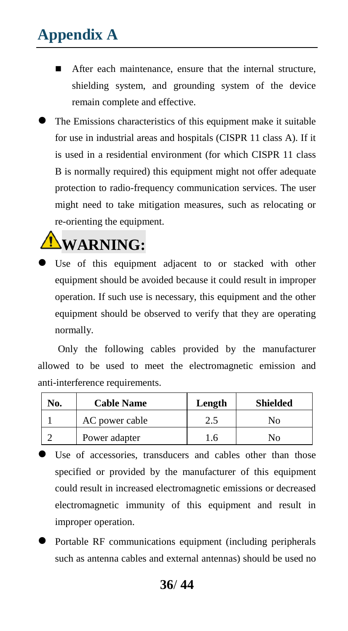- After each maintenance, ensure that the internal structure, shielding system, and grounding system of the device remain complete and effective.
- The Emissions characteristics of this equipment make it suitable for use in industrial areas and hospitals (CISPR 11 class A). If it is used in a residential environment (for which CISPR 11 class B is normally required) this equipment might not offer adequate protection to radio-frequency communication services. The user might need to take mitigation measures, such as relocating or re-orienting the equipment.

# **WARNING:**

 Use of this equipment adjacent to or stacked with other equipment should be avoided because it could result in improper operation. If such use is necessary, this equipment and the other equipment should be observed to verify that they are operating normally.

Only the following cables provided by the manufacturer allowed to be used to meet the electromagnetic emission and anti-interference requirements.

| No. | <b>Cable Name</b> | Length | <b>Shielded</b> |
|-----|-------------------|--------|-----------------|
|     | AC power cable    |        | Nο              |
|     | Power adapter     | 6      | NO.             |

- Use of accessories, transducers and cables other than those specified or provided by the manufacturer of this equipment could result in increased electromagnetic emissions or decreased electromagnetic immunity of this equipment and result in improper operation.
- Portable RF communications equipment (including peripherals such as antenna cables and external antennas) should be used no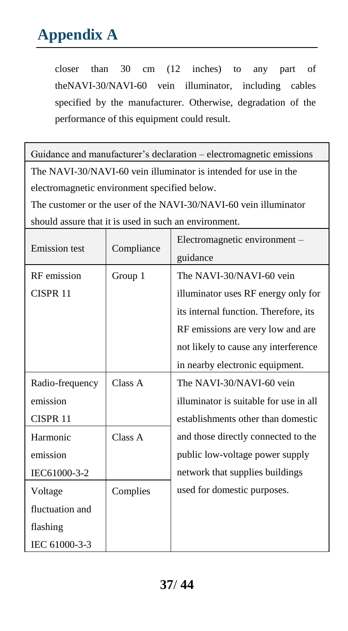closer than 30 cm (12 inches) to any part of theNAVI-30/NAVI-60 vein illuminator, including cables specified by the manufacturer. Otherwise, degradation of the performance of this equipment could result.

Guidance and manufacturer's declaration – electromagnetic emissions The NAVI-30/NAVI-60 vein illuminator is intended for use in the electromagnetic environment specified below.

The customer or the user of the NAVI-30/NAVI-60 vein illuminator should assure that it is used in such an environment.

| <b>Emission</b> test | Compliance | Electromagnetic environment -          |  |  |
|----------------------|------------|----------------------------------------|--|--|
|                      |            | guidance                               |  |  |
| RF emission          | Group 1    | The NAVI-30/NAVI-60 vein               |  |  |
| CISPR 11             |            | illuminator uses RF energy only for    |  |  |
|                      |            | its internal function. Therefore, its  |  |  |
|                      |            | RF emissions are very low and are      |  |  |
|                      |            | not likely to cause any interference   |  |  |
|                      |            | in nearby electronic equipment.        |  |  |
| Radio-frequency      | Class A    | The NAVI-30/NAVI-60 vein               |  |  |
| emission             |            | illuminator is suitable for use in all |  |  |
| CISPR <sub>11</sub>  |            | establishments other than domestic     |  |  |
| Harmonic             | Class A    | and those directly connected to the    |  |  |
| emission             |            | public low-voltage power supply        |  |  |
| IEC61000-3-2         |            | network that supplies buildings        |  |  |
| Voltage              | Complies   | used for domestic purposes.            |  |  |
| fluctuation and      |            |                                        |  |  |
| flashing             |            |                                        |  |  |
| IEC 61000-3-3        |            |                                        |  |  |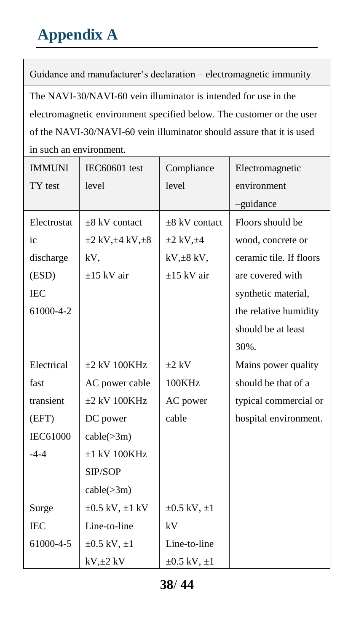Guidance and manufacturer's declaration – electromagnetic immunity The NAVI-30/NAVI-60 vein illuminator is intended for use in the electromagnetic environment specified below. The customer or the user of the NAVI-30/NAVI-60 vein illuminator should assure that it is used in such an environment.

| <b>IMMUNI</b>   | <b>IEC60601</b> test            | Compliance            | Electromagnetic         |
|-----------------|---------------------------------|-----------------------|-------------------------|
| TY test         | level                           | level                 | environment             |
|                 |                                 |                       | -guidance               |
| Electrostat     | $\pm$ 8 kV contact              | $\pm$ 8 kV contact    | Floors should be        |
| ic              | $\pm 2$ kV, $\pm 4$ kV, $\pm 8$ | $\pm 2$ kV, $\pm 4$   | wood, concrete or       |
| discharge       | kV.                             | $kV, \pm 8kV,$        | ceramic tile. If floors |
| (ESD)           | $\pm$ 15 kV air                 | $\pm$ 15 kV air       | are covered with        |
| <b>IEC</b>      |                                 |                       | synthetic material,     |
| 61000-4-2       |                                 |                       | the relative humidity   |
|                 |                                 |                       | should be at least      |
|                 |                                 |                       | 30%.                    |
| Electrical      | $\pm 2$ kV 100KHz               | $\pm 2$ kV            | Mains power quality     |
| fast            | AC power cable                  | 100KHz                | should be that of a     |
| transient       | $\pm 2$ kV 100KHz               | AC power              | typical commercial or   |
| (EFT)           | DC power                        | cable                 | hospital environment.   |
| <b>IEC61000</b> | $cable(\geq 3m)$                |                       |                         |
| $-4-4$          | $±1$ kV 100KHz                  |                       |                         |
|                 | SIP/SOP                         |                       |                         |
|                 | $cable(\geq 3m)$                |                       |                         |
| Surge           | $\pm 0.5$ kV, $\pm 1$ kV        | $\pm 0.5$ kV, $\pm 1$ |                         |
| <b>IEC</b>      | Line-to-line                    | kV                    |                         |
| 61000-4-5       | $\pm 0.5$ kV, $\pm 1$           | Line-to-line          |                         |
|                 | $kV, \pm 2 kV$                  | $\pm 0.5$ kV, $\pm 1$ |                         |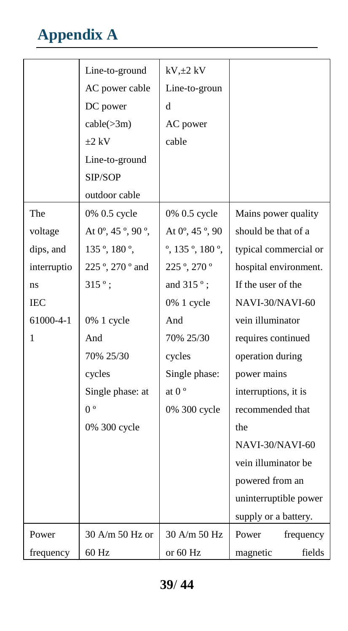|             | Line-to-ground                             | $kV, \pm 2kV$                         |                       |  |
|-------------|--------------------------------------------|---------------------------------------|-----------------------|--|
|             | AC power cable                             | Line-to-groun                         |                       |  |
|             | DC power                                   | d                                     |                       |  |
|             | $cable(\geq 3m)$                           | AC power                              |                       |  |
|             | $+2$ kV                                    | cable                                 |                       |  |
|             | Line-to-ground                             |                                       |                       |  |
|             | SIP/SOP                                    |                                       |                       |  |
|             | outdoor cable                              |                                       |                       |  |
| The         | 0% 0.5 cycle                               | 0% 0.5 cycle                          | Mains power quality   |  |
| voltage     | At $0^\circ$ , 45 $^\circ$ , 90 $^\circ$ , | At 0 ° 45 ° 90                        | should be that of a   |  |
| dips, and   | 135 °, 180 °,                              | $\degree$ 135 $\degree$ 180 $\degree$ | typical commercial or |  |
| interruptio | 225 °, 270 ° and                           | 225 ; 270 °                           | hospital environment. |  |
| ns          | $315°$ ;                                   | and 315 °;                            | If the user of the    |  |
| <b>IEC</b>  |                                            | 0% 1 cycle                            | NAVI-30/NAVI-60       |  |
| 61000-4-1   | 0% 1 cycle                                 | And                                   | vein illuminator      |  |
| 1           | And                                        | 70% 25/30                             | requires continued    |  |
|             | 70% 25/30                                  | cycles                                | operation during      |  |
|             | cycles                                     | Single phase:                         | power mains           |  |
|             | Single phase: at                           | at $0^{\circ}$                        | interruptions, it is  |  |
|             | 0 <sup>o</sup>                             | 0% 300 cycle                          | recommended that      |  |
|             | 0% 300 cycle                               |                                       | the                   |  |
|             |                                            |                                       | NAVI-30/NAVI-60       |  |
|             |                                            |                                       | vein illuminator be   |  |
|             |                                            |                                       | powered from an       |  |
|             |                                            |                                       | uninterruptible power |  |
|             |                                            |                                       | supply or a battery.  |  |
| Power       | 30 A/m 50 Hz or                            | 30 A/m 50 Hz                          | Power<br>frequency    |  |
| frequency   | 60 Hz                                      | or $60$ Hz                            | magnetic<br>fields    |  |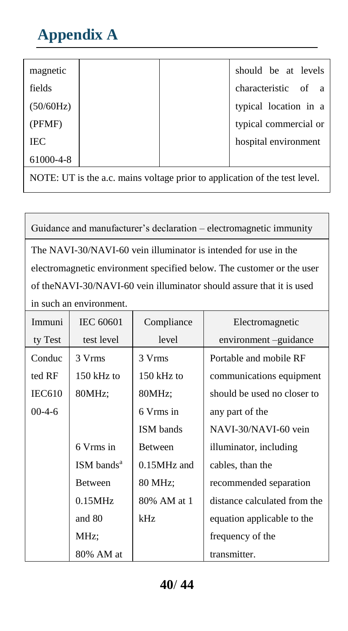| magnetic   |  | should be at levels   |
|------------|--|-----------------------|
| fields     |  | characteristic of a   |
| (50/60Hz)  |  | typical location in a |
| (PFMF)     |  | typical commercial or |
| <b>IEC</b> |  | hospital environment  |
| 61000-4-8  |  |                       |

NOTE: UT is the a.c. mains voltage prior to application of the test level.

Guidance and manufacturer's declaration – electromagnetic immunity The NAVI-30/NAVI-60 vein illuminator is intended for use in the electromagnetic environment specified below. The customer or the user of theNAVI-30/NAVI-60 vein illuminator should assure that it is used in such an environment.

| Immuni        | <b>IEC 60601</b>         | Compliance       | Electromagnetic              |
|---------------|--------------------------|------------------|------------------------------|
| ty Test       | test level               | level            | environment –guidance        |
| Conduc        | 3 Vrms                   | 3 Vrms           | Portable and mobile RF       |
| ted RF        | $150$ kHz to             | $150$ kHz to     | communications equipment     |
| <b>IEC610</b> | 80MHz;                   | 80MHz:           | should be used no closer to  |
| $00-4-6$      |                          | 6 Vrms in        | any part of the              |
|               |                          | <b>ISM</b> bands | NAVI-30/NAVI-60 vein         |
|               | 6 Vrms in                | <b>Between</b>   | illuminator, including       |
|               | $ISM$ bands <sup>a</sup> | $0.15MHz$ and    | cables, than the             |
|               | <b>Between</b>           | 80 MHz;          | recommended separation       |
|               | 0.15MHz                  | 80% AM at 1      | distance calculated from the |
|               | and 80                   | kHz              | equation applicable to the   |
|               | MHz;                     |                  | frequency of the             |
|               | 80% AM at                |                  | transmitter.                 |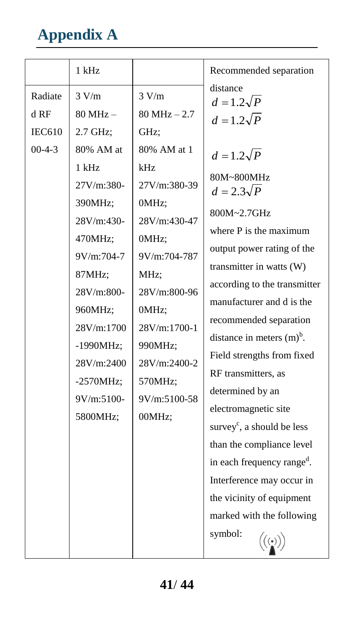|                                              | 1 kHz                                                                                                                                                                                                                                       |                                                                                                                                                                                                                                                | Recommended separation                                                                                                                                                                                                                                                                                                                                                                                                                                                                                                                                                                                                                           |
|----------------------------------------------|---------------------------------------------------------------------------------------------------------------------------------------------------------------------------------------------------------------------------------------------|------------------------------------------------------------------------------------------------------------------------------------------------------------------------------------------------------------------------------------------------|--------------------------------------------------------------------------------------------------------------------------------------------------------------------------------------------------------------------------------------------------------------------------------------------------------------------------------------------------------------------------------------------------------------------------------------------------------------------------------------------------------------------------------------------------------------------------------------------------------------------------------------------------|
| Radiate<br>d RF<br><b>IEC610</b><br>$00-4-3$ | 3 V/m<br>$80 MHz -$<br>2.7 GHz:<br>80% AM at<br>1 kHz<br>27V/m:380-<br>390MHz;<br>28V/m:430-<br>470MHz;<br>9V/m:704-7<br>87MHz;<br>28V/m:800-<br>960MHz;<br>28V/m:1700<br>-1990MHz;<br>28V/m:2400<br>$-2570MHz$<br>$9V/m:5100-$<br>5800MHz; | 3 V/m<br>$80 MHz - 2.7$<br>GHz;<br>80% AM at 1<br>kHz<br>27V/m:380-39<br>0MHz;<br>28V/m:430-47<br>0MHz;<br>9V/m:704-787<br>MHz:<br>28V/m:800-96<br>0MHz;<br>$28V/m:1700-1$<br>990MHz:<br>$28V/m:2400-2$<br>570MHz;<br>$9V/m:5100-58$<br>00MHz; | distance<br>$d=1.2\sqrt{P}$<br>$d=1.2\sqrt{P}$<br>$d=1.2\sqrt{P}$<br>80M~800MHz<br>$d=2.3\sqrt{P}$<br>800M~2.7GHz<br>where P is the maximum<br>output power rating of the<br>transmitter in watts (W)<br>according to the transmitter<br>manufacturer and d is the<br>recommended separation<br>distance in meters $(m)^b$ .<br>Field strengths from fixed<br>RF transmitters, as<br>determined by an<br>electromagnetic site<br>survey <sup>c</sup> , a should be less<br>than the compliance level<br>in each frequency range <sup>d</sup> .<br>Interference may occur in<br>the vicinity of equipment<br>marked with the following<br>symbol: |
|                                              |                                                                                                                                                                                                                                             |                                                                                                                                                                                                                                                |                                                                                                                                                                                                                                                                                                                                                                                                                                                                                                                                                                                                                                                  |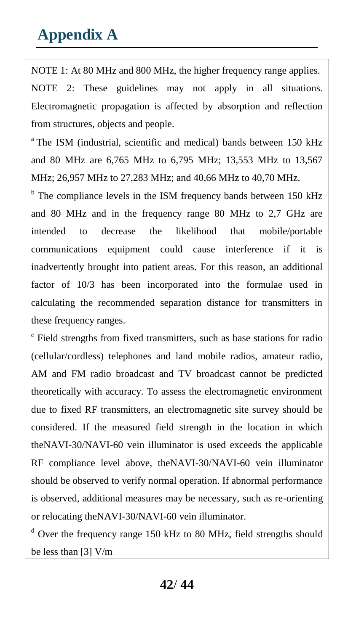NOTE 1: At 80 MHz and 800 MHz, the higher frequency range applies. NOTE 2: These guidelines may not apply in all situations. Electromagnetic propagation is affected by absorption and reflection from structures, objects and people.

<sup>a</sup>The ISM (industrial, scientific and medical) bands between 150 kHz and 80 MHz are 6,765 MHz to 6,795 MHz; 13,553 MHz to 13,567 MHz; 26,957 MHz to 27,283 MHz; and 40,66 MHz to 40,70 MHz.

<sup>b</sup> The compliance levels in the ISM frequency bands between 150 kHz and 80 MHz and in the frequency range 80 MHz to 2,7 GHz are intended to decrease the likelihood that mobile/portable communications equipment could cause interference if it is inadvertently brought into patient areas. For this reason, an additional factor of 10/3 has been incorporated into the formulae used in calculating the recommended separation distance for transmitters in these frequency ranges.

c Field strengths from fixed transmitters, such as base stations for radio (cellular/cordless) telephones and land mobile radios, amateur radio, AM and FM radio broadcast and TV broadcast cannot be predicted theoretically with accuracy. To assess the electromagnetic environment due to fixed RF transmitters, an electromagnetic site survey should be considered. If the measured field strength in the location in which theNAVI-30/NAVI-60 vein illuminator is used exceeds the applicable RF compliance level above, theNAVI-30/NAVI-60 vein illuminator should be observed to verify normal operation. If abnormal performance is observed, additional measures may be necessary, such as re-orienting or relocating theNAVI-30/NAVI-60 vein illuminator.

<sup>d</sup> Over the frequency range 150 kHz to 80 MHz, field strengths should be less than [3] V/m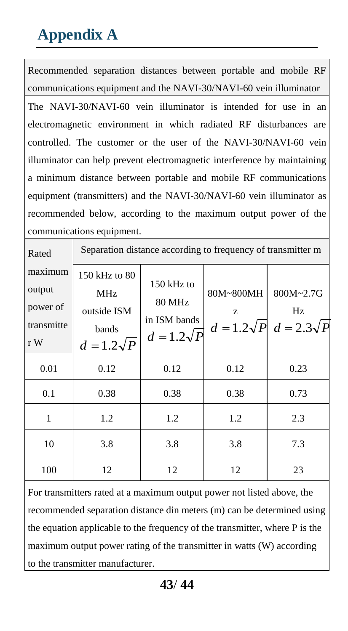Recommended separation distances between portable and mobile RF communications equipment and the NAVI-30/NAVI-60 vein illuminator The NAVI-30/NAVI-60 vein illuminator is intended for use in an electromagnetic environment in which radiated RF disturbances are controlled. The customer or the user of the NAVI-30/NAVI-60 vein illuminator can help prevent electromagnetic interference by maintaining a minimum distance between portable and mobile RF communications equipment (transmitters) and the NAVI-30/NAVI-60 vein illuminator as recommended below, according to the maximum output power of the communications equipment.

| Rated                                              | Separation distance according to frequency of transmitter m       |                                                                  |                |                                                    |
|----------------------------------------------------|-------------------------------------------------------------------|------------------------------------------------------------------|----------------|----------------------------------------------------|
| maximum<br>output<br>power of<br>transmitte<br>r W | 150 kHz to 80<br>MHz<br>outside ISM<br>bands<br>$d = 1.2\sqrt{P}$ | 150 kHz to<br><b>80 MHz</b><br>in ISM bands<br>$d = 1.2\sqrt{P}$ | 80M~800MH<br>Z | 800M~2.7G<br>Hz<br>$d=1.2\sqrt{P}$ $d=2.3\sqrt{P}$ |
| 0.01                                               | 0.12                                                              | 0.12                                                             | 0.12           | 0.23                                               |
| 0.1                                                | 0.38                                                              | 0.38                                                             | 0.38           | 0.73                                               |
| 1                                                  | 1.2                                                               | 1.2                                                              | 1.2            | 2.3                                                |
| 10                                                 | 3.8                                                               | 3.8                                                              | 3.8            | 7.3                                                |
| 100                                                | 12                                                                | 12                                                               | 12             | 23                                                 |

For transmitters rated at a maximum output power not listed above, the recommended separation distance din meters (m) can be determined using the equation applicable to the frequency of the transmitter, where P is the maximum output power rating of the transmitter in watts (W) according to the transmitter manufacturer.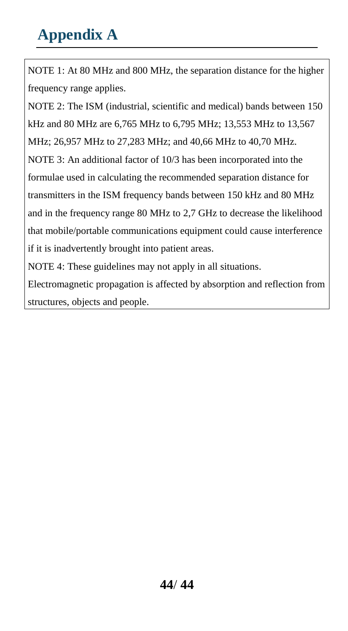NOTE 1: At 80 MHz and 800 MHz, the separation distance for the higher frequency range applies.

NOTE 2: The ISM (industrial, scientific and medical) bands between 150 kHz and 80 MHz are 6,765 MHz to 6,795 MHz; 13,553 MHz to 13,567 MHz; 26,957 MHz to 27,283 MHz; and 40,66 MHz to 40,70 MHz. NOTE 3: An additional factor of 10/3 has been incorporated into the formulae used in calculating the recommended separation distance for transmitters in the ISM frequency bands between 150 kHz and 80 MHz and in the frequency range 80 MHz to 2,7 GHz to decrease the likelihood that mobile/portable communications equipment could cause interference if it is inadvertently brought into patient areas.

NOTE 4: These guidelines may not apply in all situations.

Electromagnetic propagation is affected by absorption and reflection from structures, objects and people.